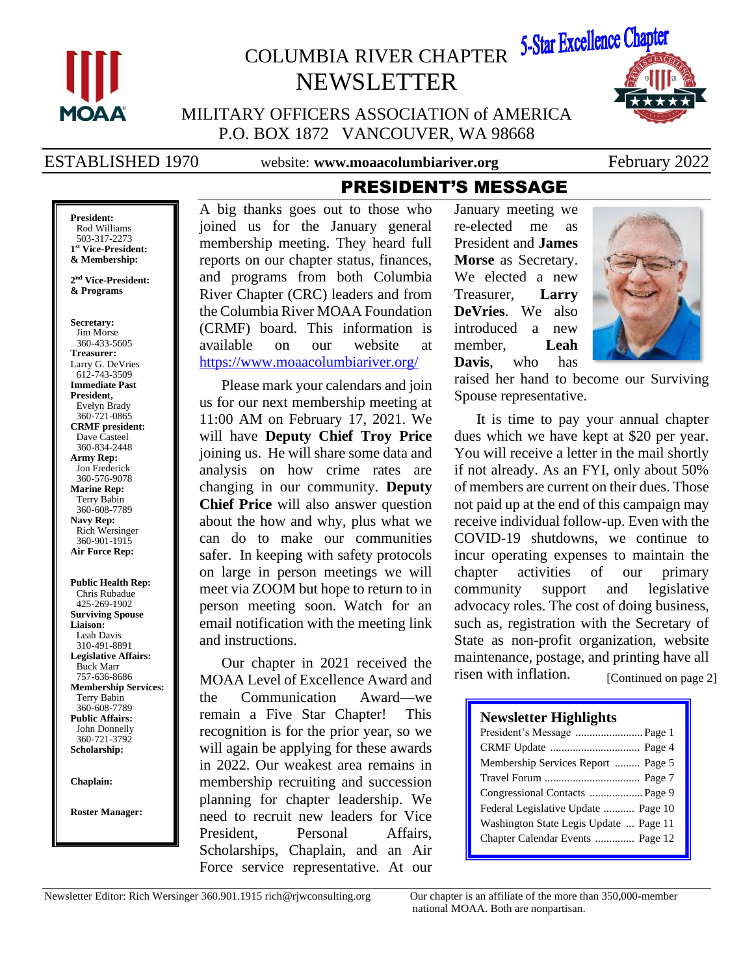

# COLUMBIA RIVER CHAPTER NEWSLETTER



MILITARY OFFICERS ASSOCIATION of AMERICA P.O. BOX 1872 VANCOUVER, WA 98668

ESTABLISHED 1970 website: www.moaacolumbiariver.org February 2022

PRESIDENT'S MESSAGE

**President:** Rod Williams 503-317-2273 **1 st Vice-President: & Membership:**

**2 nd Vice-President: & Programs**

**Secretary:** Jim Morse 360-433-5605 **Treasurer:** Larry G. DeVries 612-743-3509 **Immediate Past President,**  Evelyn Brady 360-721-0865 **CRMF president:** Dave Casteel 360-834-2448 **Army Rep:** Jon Frederick 360-576-9078 **Marine Rep:** Terry Babin 360-608-7789 **Navy Rep:** Rich Wersinger 360-901-1915 **Air Force Rep:**

**Public Health Rep:** Chris Rubadue 425-269-1902 **Surviving Spouse Liaison:** Leah Davis 310-491-8891 **Legislative Affairs:** Buck Marr 757-636-8686 **Membership Services:** Terry Babin 360-608-7789 **Public Affairs:** John Donnelly 360-721-3792 **Scholarship:**

**Chaplain:**

**Roster Manager:**

A big thanks goes out to those who joined us for the January general membership meeting. They heard full reports on our chapter status, finances, and programs from both Columbia River Chapter (CRC) leaders and from the Columbia River MOAA Foundation (CRMF) board. This information is available on our website at <https://www.moaacolumbiariver.org/>

Please mark your calendars and join us for our next membership meeting at 11:00 AM on February 17, 2021. We will have **Deputy Chief Troy Price** joining us. He will share some data and analysis on how crime rates are changing in our community. **Deputy Chief Price** will also answer question about the how and why, plus what we can do to make our communities safer. In keeping with safety protocols on large in person meetings we will meet via ZOOM but hope to return to in person meeting soon. Watch for an email notification with the meeting link and instructions.

Our chapter in 2021 received the MOAA Level of Excellence Award and the Communication Award—we remain a Five Star Chapter! This recognition is for the prior year, so we will again be applying for these awards in 2022. Our weakest area remains in membership recruiting and succession planning for chapter leadership. We need to recruit new leaders for Vice President, Personal Affairs, Scholarships, Chaplain, and an Air Force service representative. At our

January meeting we re-elected me as President and **James Morse** as Secretary. We elected a new Treasurer, **Larry DeVries**. We also introduced a new member, **Leah Davis**, who has



raised her hand to become our Surviving Spouse representative.

It is time to pay your annual chapter dues which we have kept at \$20 per year. You will receive a letter in the mail shortly if not already. As an FYI, only about 50% of members are current on their dues. Those not paid up at the end of this campaign may receive individual follow-up. Even with the COVID-19 shutdowns, we continue to incur operating expenses to maintain the chapter activities of our primary community support and legislative advocacy roles. The cost of doing business, such as, registration with the Secretary of State as non-profit organization, website maintenance, postage, and printing have all risen with inflation. [Continued on page 2]

#### **Newsletter Highlights**

| President's Message  Page 1            |
|----------------------------------------|
|                                        |
| Membership Services Report  Page 5     |
|                                        |
|                                        |
| Federal Legislative Update  Page 10    |
| Washington State Legis Update  Page 11 |
| Chapter Calendar Events  Page 12       |
|                                        |

Newsletter Editor: Rich Wersinger 360.901.1915 rich@rjwconsulting.org Our chapter is an affiliate of the more than 350,000-member

national MOAA. Both are nonpartisan.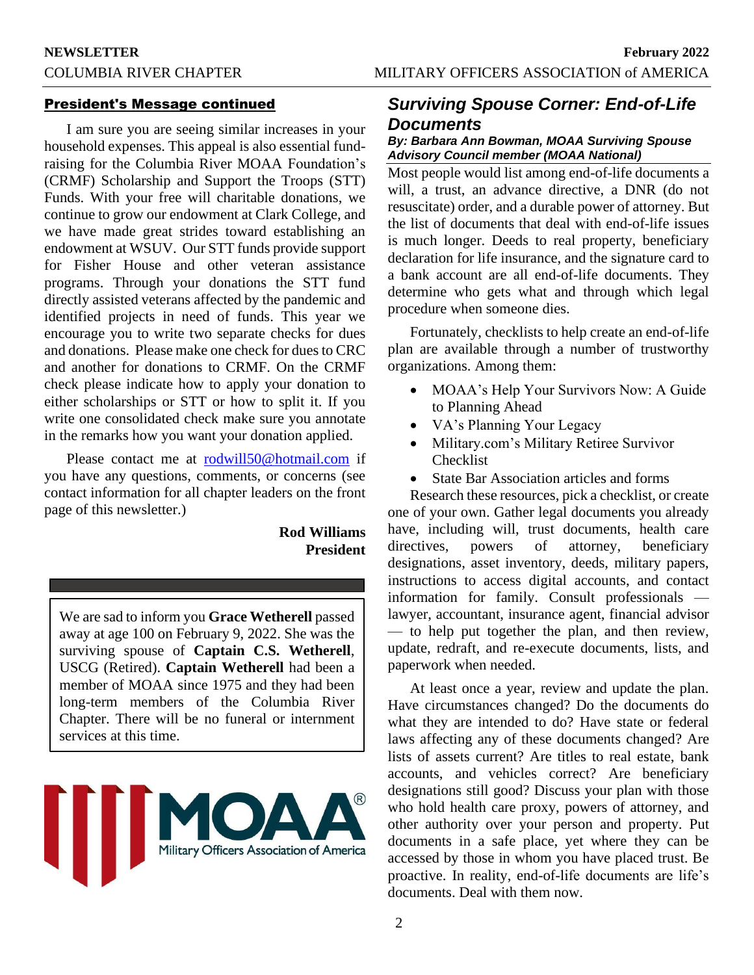#### President's Message continued

I am sure you are seeing similar increases in your household expenses. This appeal is also essential fundraising for the Columbia River MOAA Foundation's (CRMF) Scholarship and Support the Troops (STT) Funds. With your free will charitable donations, we continue to grow our endowment at Clark College, and we have made great strides toward establishing an endowment at WSUV. Our STT funds provide support for Fisher House and other veteran assistance programs. Through your donations the STT fund directly assisted veterans affected by the pandemic and identified projects in need of funds. This year we encourage you to write two separate checks for dues and donations. Please make one check for dues to CRC and another for donations to CRMF. On the CRMF check please indicate how to apply your donation to either scholarships or STT or how to split it. If you write one consolidated check make sure you annotate in the remarks how you want your donation applied.

Please contact me at [rodwill50@hotmail.com](mailto:rodwill50@hotmail.com) if you have any questions, comments, or concerns (see contact information for all chapter leaders on the front page of this newsletter.)

### **Rod Williams President**

We are sad to inform you **Grace Wetherell** passed away at age 100 on February 9, 2022. She was the surviving spouse of **Captain C.S. Wetherell**, USCG (Retired). **Captain Wetherell** had been a member of MOAA since 1975 and they had been long-term members of the Columbia River Chapter. There will be no funeral or internment services at this time.



# *Surviving Spouse Corner: End-of-Life Documents*

#### *By: Barbara Ann Bowman, MOAA Surviving Spouse Advisory Council member (MOAA National)*

Most people would list among end-of-life documents a will, a trust, an advance directive, a DNR (do not resuscitate) order, and a durable power of attorney. But the list of documents that deal with end-of-life issues is much longer. Deeds to real property, beneficiary declaration for life insurance, and the signature card to a bank account are all end-of-life documents. They determine who gets what and through which legal procedure when someone dies.

Fortunately, checklists to help create an end-of-life plan are available through a number of trustworthy organizations. Among them:

- MOAA's Help Your Survivors Now: A Guide to Planning Ahead
- VA's Planning Your Legacy
- Military.com's Military Retiree Survivor Checklist
- State Bar Association articles and forms

Research these resources, pick a checklist, or create one of your own. Gather legal documents you already have, including will, trust documents, health care directives, powers of attorney, beneficiary designations, asset inventory, deeds, military papers, instructions to access digital accounts, and contact information for family. Consult professionals lawyer, accountant, insurance agent, financial advisor — to help put together the plan, and then review, update, redraft, and re-execute documents, lists, and paperwork when needed.

At least once a year, review and update the plan. Have circumstances changed? Do the documents do what they are intended to do? Have state or federal laws affecting any of these documents changed? Are lists of assets current? Are titles to real estate, bank accounts, and vehicles correct? Are beneficiary designations still good? Discuss your plan with those who hold health care proxy, powers of attorney, and other authority over your person and property. Put documents in a safe place, yet where they can be accessed by those in whom you have placed trust. Be proactive. In reality, end-of-life documents are life's documents. Deal with them now.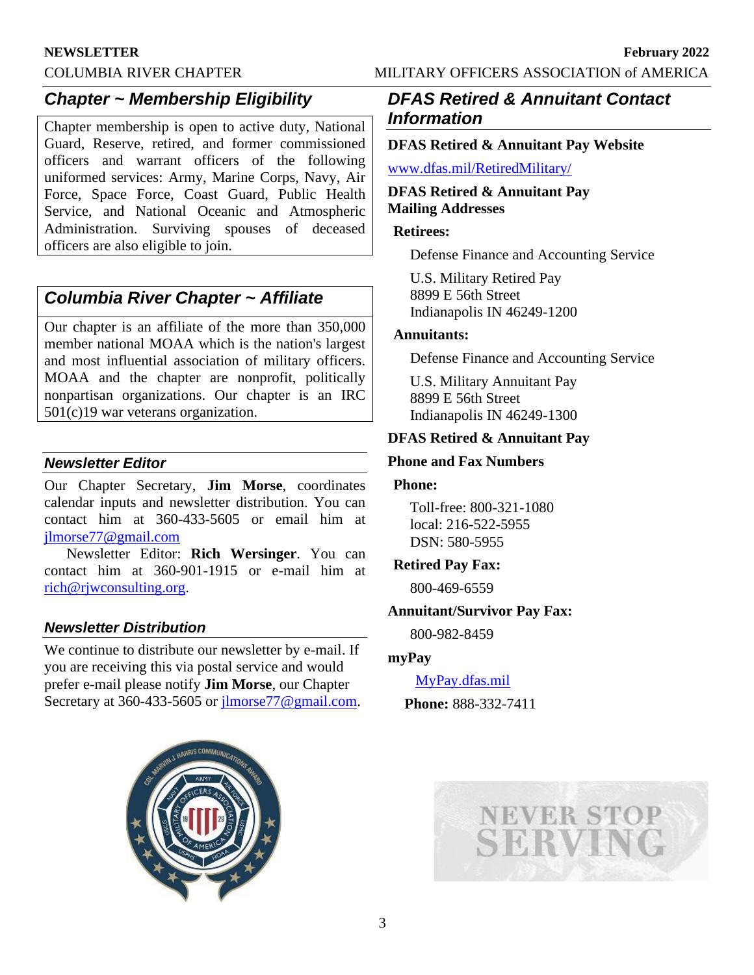#### **NEWSLETTER February 2022**

COLUMBIA RIVER CHAPTER MILITARY OFFICERS ASSOCIATION of AMERICA

# *Chapter ~ Membership Eligibility*

Chapter membership is open to active duty, National Guard, Reserve, retired, and former commissioned officers and warrant officers of the following uniformed services: Army, Marine Corps, Navy, Air Force, Space Force, Coast Guard, Public Health Service, and National Oceanic and Atmospheric Administration. Surviving spouses of deceased officers are also eligible to join.

# *Columbia River Chapter ~ Affiliate*

Our chapter is an affiliate of the more than 350,000 member national MOAA which is the nation's largest and most influential association of military officers. MOAA and the chapter are nonprofit, politically nonpartisan organizations. Our chapter is an IRC 501(c)19 war veterans organization.

### *Newsletter Editor*

Our Chapter Secretary, **Jim Morse**, coordinates calendar inputs and newsletter distribution. You can contact him at 360-433-5605 or email him at [jlmorse77@gmail.com](mailto:jlmorse77@gmail.com)

Newsletter Editor: **Rich Wersinger**. You can contact him at 360-901-1915 or e-mail him at [rich@rjwconsulting.org.](mailto:rich@rjwconsulting.org)

## *Newsletter Distribution*

We continue to distribute our newsletter by e-mail. If you are receiving this via postal service and would prefer e-mail please notify **Jim Morse**, our Chapter Secretary at 360-433-5605 or [jlmorse77@gmail.com.](mailto:jlmorse77@gmail.com)



# *DFAS Retired & Annuitant Contact Information*

### **DFAS Retired & Annuitant Pay Website**

[www.dfas.mil/RetiredMilitary/](https://www.dfas.mil/RetiredMilitary/)

#### **DFAS Retired & Annuitant Pay Mailing Addresses**

#### **Retirees:**

Defense Finance and Accounting Service

U.S. Military Retired Pay 8899 E 56th Street Indianapolis IN 46249-1200

#### **Annuitants:**

Defense Finance and Accounting Service

U.S. Military Annuitant Pay 8899 E 56th Street Indianapolis IN 46249-1300

### **DFAS Retired & Annuitant Pay**

#### **Phone and Fax Numbers**

#### **Phone:**

Toll-free: 800-321-1080 local: 216-522-5955 DSN: 580-5955

## **Retired Pay Fax:**

800-469-6559

#### **Annuitant/Survivor Pay Fax:**

800-982-8459

#### **myPay**

[MyPay.dfas.mil](https://mypay.dfas.mil/#/)

**Phone:** 888-332-7411

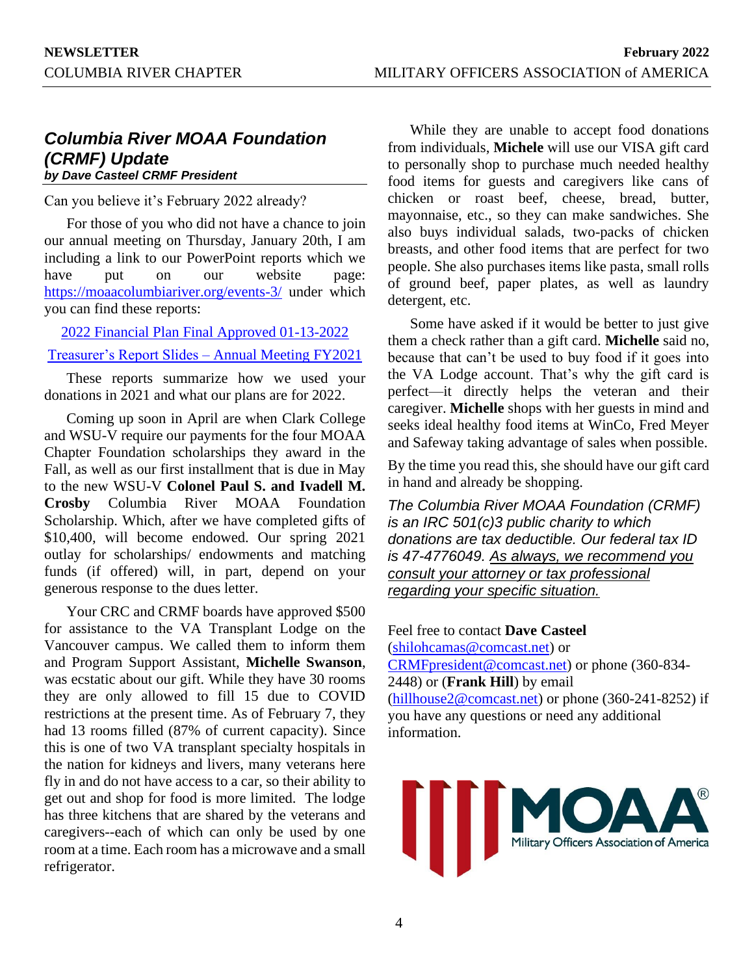## *Columbia River MOAA Foundation (CRMF) Update by Dave Casteel CRMF President*

Can you believe it's February 2022 already?

For those of you who did not have a chance to join our annual meeting on Thursday, January 20th, I am including a link to our PowerPoint reports which we have put on our website page: <https://moaacolumbiariver.org/events-3/> under which you can find these reports:

[2022 Financial Plan Final Approved 01-13-2022](https://moaacolumbiariver.org/wp-content/uploads/2022/02/2022-Fin-Plan-Final-Approved-01-13-2022.pdf)

[Treasurer's Report Slides –](https://moaacolumbiariver.org/wp-content/uploads/2022/02/Treasurers-Report-Slides-Annual-Meeting-FY2021-1.pdf) Annual Meeting FY2021

These reports summarize how we used your donations in 2021 and what our plans are for 2022.

Coming up soon in April are when Clark College and WSU-V require our payments for the four MOAA Chapter Foundation scholarships they award in the Fall, as well as our first installment that is due in May to the new WSU-V **Colonel Paul S. and Ivadell M. Crosby** Columbia River MOAA Foundation Scholarship. Which, after we have completed gifts of \$10,400, will become endowed. Our spring 2021 outlay for scholarships/ endowments and matching funds (if offered) will, in part, depend on your generous response to the dues letter.

Your CRC and CRMF boards have approved \$500 for assistance to the VA Transplant Lodge on the Vancouver campus. We called them to inform them and Program Support Assistant, **Michelle Swanson**, was ecstatic about our gift. While they have 30 rooms they are only allowed to fill 15 due to COVID restrictions at the present time. As of February 7, they had 13 rooms filled (87% of current capacity). Since this is one of two VA transplant specialty hospitals in the nation for kidneys and livers, many veterans here fly in and do not have access to a car, so their ability to get out and shop for food is more limited. The lodge has three kitchens that are shared by the veterans and caregivers--each of which can only be used by one room at a time. Each room has a microwave and a small refrigerator.

While they are unable to accept food donations from individuals, **Michele** will use our VISA gift card to personally shop to purchase much needed healthy food items for guests and caregivers like cans of chicken or roast beef, cheese, bread, butter, mayonnaise, etc., so they can make sandwiches. She also buys individual salads, two-packs of chicken breasts, and other food items that are perfect for two people. She also purchases items like pasta, small rolls of ground beef, paper plates, as well as laundry detergent, etc.

Some have asked if it would be better to just give them a check rather than a gift card. **Michelle** said no, because that can't be used to buy food if it goes into the VA Lodge account. That's why the gift card is perfect—it directly helps the veteran and their caregiver. **Michelle** shops with her guests in mind and seeks ideal healthy food items at WinCo, Fred Meyer and Safeway taking advantage of sales when possible.

By the time you read this, she should have our gift card in hand and already be shopping.

*The Columbia River MOAA Foundation (CRMF) is an IRC 501(c)3 public charity to which donations are tax deductible. Our federal tax ID is 47-4776049. As always, we recommend you consult your attorney or tax professional regarding your specific situation.*

Feel free to contact **Dave Casteel** [\(shilohcamas@comcast.net\)](mailto:shilohcamas@comcast.net) or [CRMFpresident@comcast.net\)](mailto:CRMFpresident@comcast.net) or phone (360-834- 2448) or (**Frank Hill**) by email (hillhouse $2@$ comcast.net) or phone (360-241-8252) if you have any questions or need any additional information.

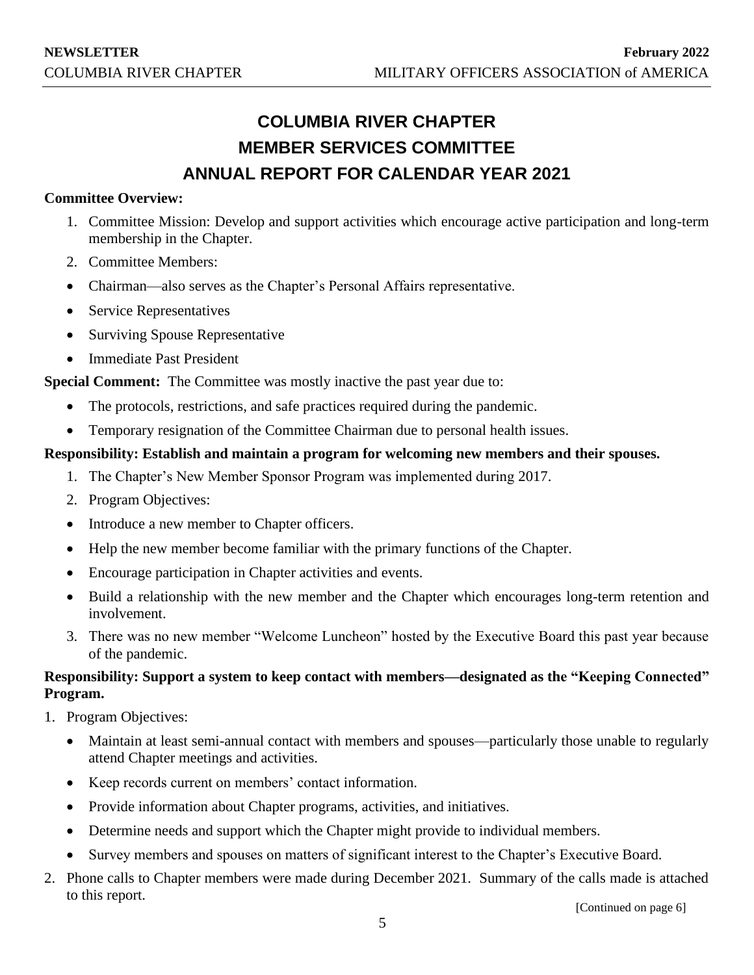# **COLUMBIA RIVER CHAPTER MEMBER SERVICES COMMITTEE ANNUAL REPORT FOR CALENDAR YEAR 2021**

#### **Committee Overview:**

- 1. Committee Mission: Develop and support activities which encourage active participation and long-term membership in the Chapter.
- 2. Committee Members:
- Chairman—also serves as the Chapter's Personal Affairs representative.
- Service Representatives
- Surviving Spouse Representative
- Immediate Past President

**Special Comment:** The Committee was mostly inactive the past year due to:

- The protocols, restrictions, and safe practices required during the pandemic.
- Temporary resignation of the Committee Chairman due to personal health issues.

#### **Responsibility: Establish and maintain a program for welcoming new members and their spouses.**

- 1. The Chapter's New Member Sponsor Program was implemented during 2017.
- 2. Program Objectives:
- Introduce a new member to Chapter officers.
- Help the new member become familiar with the primary functions of the Chapter.
- Encourage participation in Chapter activities and events.
- Build a relationship with the new member and the Chapter which encourages long-term retention and involvement.
- 3. There was no new member "Welcome Luncheon" hosted by the Executive Board this past year because of the pandemic.

# **Responsibility: Support a system to keep contact with members—designated as the "Keeping Connected" Program.**

- 1. Program Objectives:
	- Maintain at least semi-annual contact with members and spouses—particularly those unable to regularly attend Chapter meetings and activities.
	- Keep records current on members' contact information.
	- Provide information about Chapter programs, activities, and initiatives.
	- Determine needs and support which the Chapter might provide to individual members.
	- Survey members and spouses on matters of significant interest to the Chapter's Executive Board.
- 2. Phone calls to Chapter members were made during December 2021. Summary of the calls made is attached to this report.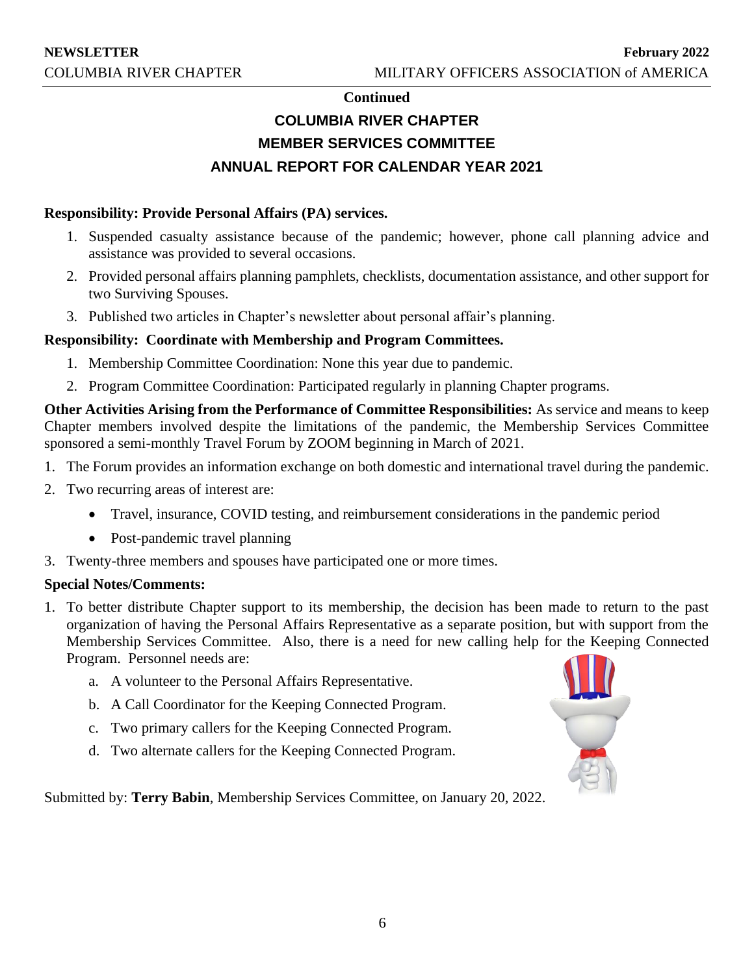#### **Continued**

# **COLUMBIA RIVER CHAPTER MEMBER SERVICES COMMITTEE ANNUAL REPORT FOR CALENDAR YEAR 2021**

#### **Responsibility: Provide Personal Affairs (PA) services.**

- 1. Suspended casualty assistance because of the pandemic; however, phone call planning advice and assistance was provided to several occasions.
- 2. Provided personal affairs planning pamphlets, checklists, documentation assistance, and other support for two Surviving Spouses.
- 3. Published two articles in Chapter's newsletter about personal affair's planning.

## **Responsibility: Coordinate with Membership and Program Committees.**

- 1. Membership Committee Coordination: None this year due to pandemic.
- 2. Program Committee Coordination: Participated regularly in planning Chapter programs.

**Other Activities Arising from the Performance of Committee Responsibilities:** As service and means to keep Chapter members involved despite the limitations of the pandemic, the Membership Services Committee sponsored a semi-monthly Travel Forum by ZOOM beginning in March of 2021.

- 1. The Forum provides an information exchange on both domestic and international travel during the pandemic.
- 2. Two recurring areas of interest are:
	- Travel, insurance, COVID testing, and reimbursement considerations in the pandemic period
	- Post-pandemic travel planning
- 3. Twenty-three members and spouses have participated one or more times.

#### **Special Notes/Comments:**

- 1. To better distribute Chapter support to its membership, the decision has been made to return to the past organization of having the Personal Affairs Representative as a separate position, but with support from the Membership Services Committee. Also, there is a need for new calling help for the Keeping Connected Program. Personnel needs are:
	- a. A volunteer to the Personal Affairs Representative.
	- b. A Call Coordinator for the Keeping Connected Program.
	- c. Two primary callers for the Keeping Connected Program.
	- d. Two alternate callers for the Keeping Connected Program.



Submitted by: **Terry Babin**, Membership Services Committee, on January 20, 2022.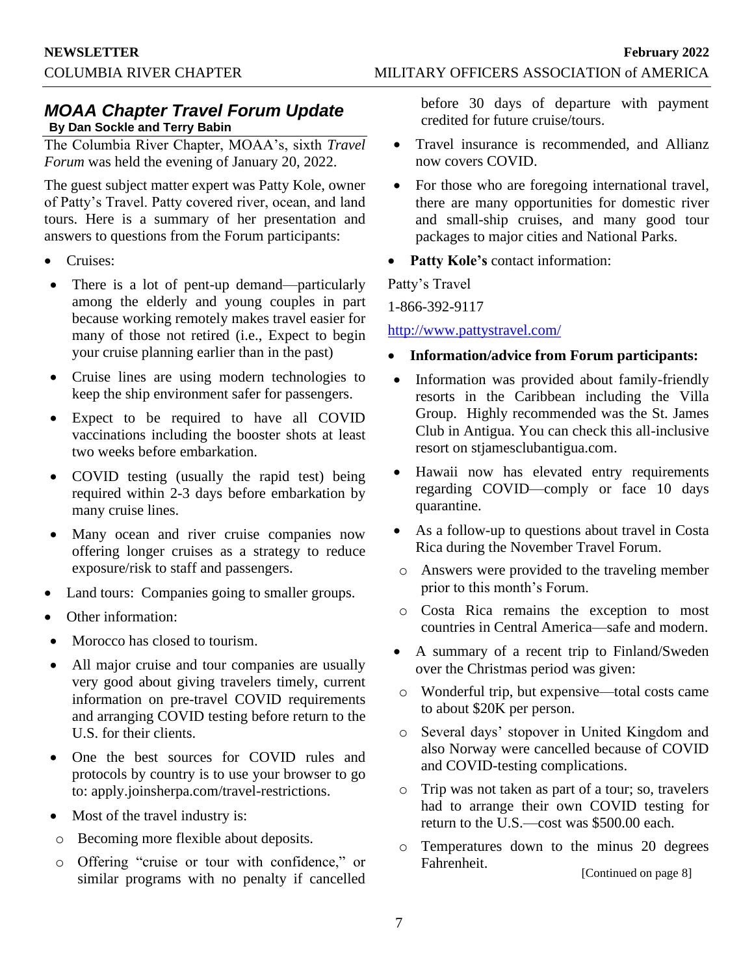# *MOAA Chapter Travel Forum Update* **By Dan Sockle and Terry Babin**

The Columbia River Chapter, MOAA's, sixth *Travel Forum* was held the evening of January 20, 2022.

The guest subject matter expert was Patty Kole, owner of Patty's Travel. Patty covered river, ocean, and land tours. Here is a summary of her presentation and answers to questions from the Forum participants:

- Cruises:
- There is a lot of pent-up demand—particularly among the elderly and young couples in part because working remotely makes travel easier for many of those not retired (i.e., Expect to begin your cruise planning earlier than in the past)
- Cruise lines are using modern technologies to keep the ship environment safer for passengers.
- Expect to be required to have all COVID vaccinations including the booster shots at least two weeks before embarkation.
- COVID testing (usually the rapid test) being required within 2-3 days before embarkation by many cruise lines.
- Many ocean and river cruise companies now offering longer cruises as a strategy to reduce exposure/risk to staff and passengers.
- Land tours: Companies going to smaller groups.
- Other information:
- Morocco has closed to tourism.
- All major cruise and tour companies are usually very good about giving travelers timely, current information on pre-travel COVID requirements and arranging COVID testing before return to the U.S. for their clients.
- One the best sources for COVID rules and protocols by country is to use your browser to go to: apply.joinsherpa.com/travel-restrictions.
- Most of the travel industry is:
- o Becoming more flexible about deposits.
- o Offering "cruise or tour with confidence," or similar programs with no penalty if cancelled

before 30 days of departure with payment credited for future cruise/tours.

- Travel insurance is recommended, and Allianz now covers COVID.
- For those who are foregoing international travel, there are many opportunities for domestic river and small-ship cruises, and many good tour packages to major cities and National Parks.
- Patty Kole's contact information:

Patty's Travel

1-866-392-9117

#### <http://www.pattystravel.com/>

- **Information/advice from Forum participants:**
- Information was provided about family-friendly resorts in the Caribbean including the Villa Group. Highly recommended was the St. James Club in Antigua. You can check this all-inclusive resort on stjamesclubantigua.com.
- Hawaii now has elevated entry requirements regarding COVID—comply or face 10 days quarantine.
- As a follow-up to questions about travel in Costa Rica during the November Travel Forum.
- o Answers were provided to the traveling member prior to this month's Forum.
- o Costa Rica remains the exception to most countries in Central America—safe and modern.
- A summary of a recent trip to Finland/Sweden over the Christmas period was given:
- o Wonderful trip, but expensive—total costs came to about \$20K per person.
- o Several days' stopover in United Kingdom and also Norway were cancelled because of COVID and COVID-testing complications.
- o Trip was not taken as part of a tour; so, travelers had to arrange their own COVID testing for return to the U.S.—cost was \$500.00 each.
- o Temperatures down to the minus 20 degrees Fahrenheit.

[Continued on page 8]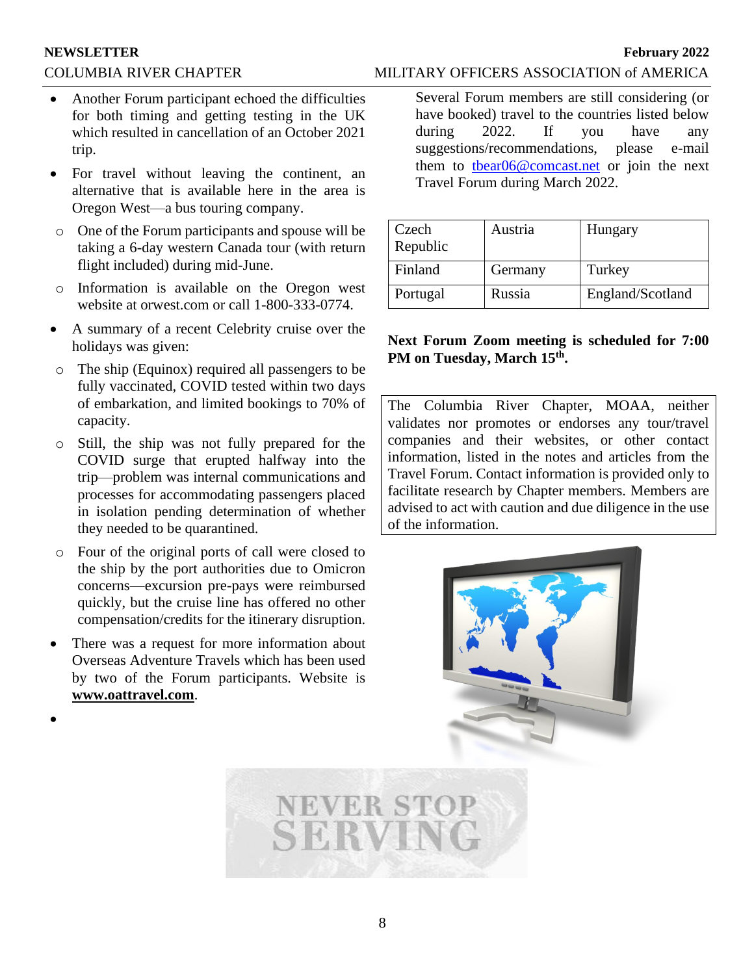#### **NEWSLETTER February 2022**

#### COLUMBIA RIVER CHAPTER MILITARY OFFICERS ASSOCIATION of AMERICA

- Another Forum participant echoed the difficulties for both timing and getting testing in the UK which resulted in cancellation of an October 2021 trip.
- For travel without leaving the continent, an alternative that is available here in the area is Oregon West—a bus touring company.
- o One of the Forum participants and spouse will be taking a 6-day western Canada tour (with return flight included) during mid-June.
- o Information is available on the Oregon west website at orwest.com or call 1-800-333-0774.
- A summary of a recent Celebrity cruise over the holidays was given:
- o The ship (Equinox) required all passengers to be fully vaccinated, COVID tested within two days of embarkation, and limited bookings to 70% of capacity.
- o Still, the ship was not fully prepared for the COVID surge that erupted halfway into the trip—problem was internal communications and processes for accommodating passengers placed in isolation pending determination of whether they needed to be quarantined.
- o Four of the original ports of call were closed to the ship by the port authorities due to Omicron concerns—excursion pre-pays were reimbursed quickly, but the cruise line has offered no other compensation/credits for the itinerary disruption.
- There was a request for more information about Overseas Adventure Travels which has been used by two of the Forum participants. Website is **www.oattravel.com**.

•

# Several Forum members are still considering (or have booked) travel to the countries listed below

during 2022. If you have any suggestions/recommendations, please e-mail them to [tbear06@comcast.net](mailto:tbear06@comcast.net) or join the next Travel Forum during March 2022.

| Czech<br>Republic | Austria | Hungary          |
|-------------------|---------|------------------|
| Finland           | Germany | Turkey           |
| Portugal          | Russia  | England/Scotland |

### **Next Forum Zoom meeting is scheduled for 7:00 PM on Tuesday, March 15th .**

The Columbia River Chapter, MOAA, neither validates nor promotes or endorses any tour/travel companies and their websites, or other contact information, listed in the notes and articles from the Travel Forum. Contact information is provided only to facilitate research by Chapter members. Members are advised to act with caution and due diligence in the use of the information.





8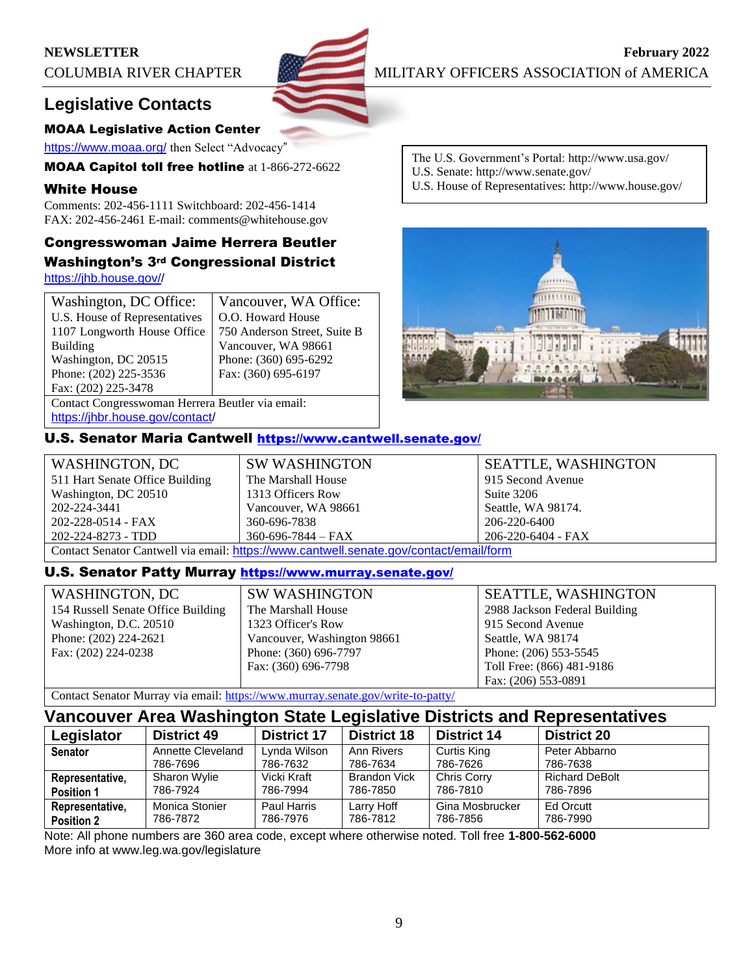

**NEWSLETTER February** 2022 COLUMBIA RIVER CHAPTER MILITARY OFFICERS ASSOCIATION of AMERICA

# **Legislative Contacts**

#### MOAA Legislative Action Center

<https://www.moaa.org/> then Select "Advocacy"

MOAA Capitol toll free hotline at 1-866-272-6622

#### White House

Comments: 202-456-1111 Switchboard: 202-456-1414 FAX: 202-456-2461 E-mail: comments@whitehouse.gov

# Congresswoman Jaime Herrera Beutler Washington's 3rd Congressional District

[https://jhb.house.gov//](https://jhb.house.gov/)

| Washington, DC Office:                           | Vancouver, WA Office:        |  |  |
|--------------------------------------------------|------------------------------|--|--|
| U.S. House of Representatives                    | O.O. Howard House            |  |  |
| 1107 Longworth House Office                      | 750 Anderson Street, Suite B |  |  |
| <b>Building</b>                                  | Vancouver, WA 98661          |  |  |
| Washington, DC 20515                             | Phone: (360) 695-6292        |  |  |
| Phone: (202) 225-3536                            | Fax: (360) 695-6197          |  |  |
| Fax: (202) 225-3478                              |                              |  |  |
| Contact Congresswoman Herrera Beutler via email: |                              |  |  |
|                                                  |                              |  |  |

[https://jhbr.house.gov/contact/](https://jhb.house.gov/contact/default.aspx)

#### U.S. Senator Maria Cantwell <https://www.cantwell.senate.gov/>

| WASHINGTON, DC                                                                         | <b>SW WASHINGTON</b>     | <b>SEATTLE, WASHINGTON</b> |  |
|----------------------------------------------------------------------------------------|--------------------------|----------------------------|--|
| 511 Hart Senate Office Building                                                        | The Marshall House       | 915 Second Avenue          |  |
| Washington, DC 20510                                                                   | 1313 Officers Row        | Suite 3206                 |  |
| 202-224-3441                                                                           | Vancouver, WA 98661      | Seattle, WA 98174.         |  |
| 202-228-0514 - FAX                                                                     | 360-696-7838             | 206-220-6400               |  |
| 202-224-8273 - TDD                                                                     | $360 - 696 - 7844 - FAX$ | 206-220-6404 - FAX         |  |
| Contact Senator Cantwell via email: https://www.cantwell.senate.gov/contact/email/form |                          |                            |  |

#### U.S. Senator Patty Murray <https://www.murray.senate.gov/>

| <b>WASHINGTON, DC</b>              |
|------------------------------------|
| 154 Russell Senate Office Building |
| Washington, D.C. 20510             |
| Phone: (202) 224-2621              |
| Fax: (202) 224-0238                |
|                                    |

SW WASHINGTON The Marshall House 1323 Officer's Row Vancouver, Washington 98661 Phone: (360) 696-7797 Fax: (360) 696-7798

SEATTLE, WASHINGTON 2988 Jackson Federal Building 915 Second Avenue Seattle, WA 98174 Phone: (206) 553-5545 Toll Free: (866) 481-9186 Fax: (206) 553-0891

Contact Senator Murray via email:<https://www.murray.senate.gov/write-to-patty/>

# **Vancouver Area Washington State Legislative Districts and Representatives**

| Legislator        | <b>District 49</b> | <b>District 17</b> | <b>District 18</b>  | <b>District 14</b> | <b>District 20</b>    |
|-------------------|--------------------|--------------------|---------------------|--------------------|-----------------------|
| <b>Senator</b>    | Annette Cleveland  | Lynda Wilson       | Ann Rivers          | Curtis King        | Peter Abbarno         |
|                   | 786-7696           | 786-7632           | 786-7634            | 786-7626           | 786-7638              |
| Representative,   | Sharon Wylie       | Vicki Kraft        | <b>Brandon Vick</b> | <b>Chris Corry</b> | <b>Richard DeBolt</b> |
| <b>Position 1</b> | 786-7924           | 786-7994           | 786-7850            | 786-7810           | 786-7896              |
| Representative,   | Monica Stonier     | Paul Harris        | Larry Hoff          | Gina Mosbrucker    | Ed Orcutt             |
| <b>Position 2</b> | 786-7872           | 786-7976           | 786-7812            | 786-7856           | 786-7990              |

Note: All phone numbers are 360 area code, except where otherwise noted. Toll free **1-800-562-6000** More info at www.leg.wa.gov/legislature

- The U.S. Government's Portal: http://www.usa.gov/ U.S. Senate: http://www.senate.gov/
- U.S. House of Representatives: http://www.house.gov/

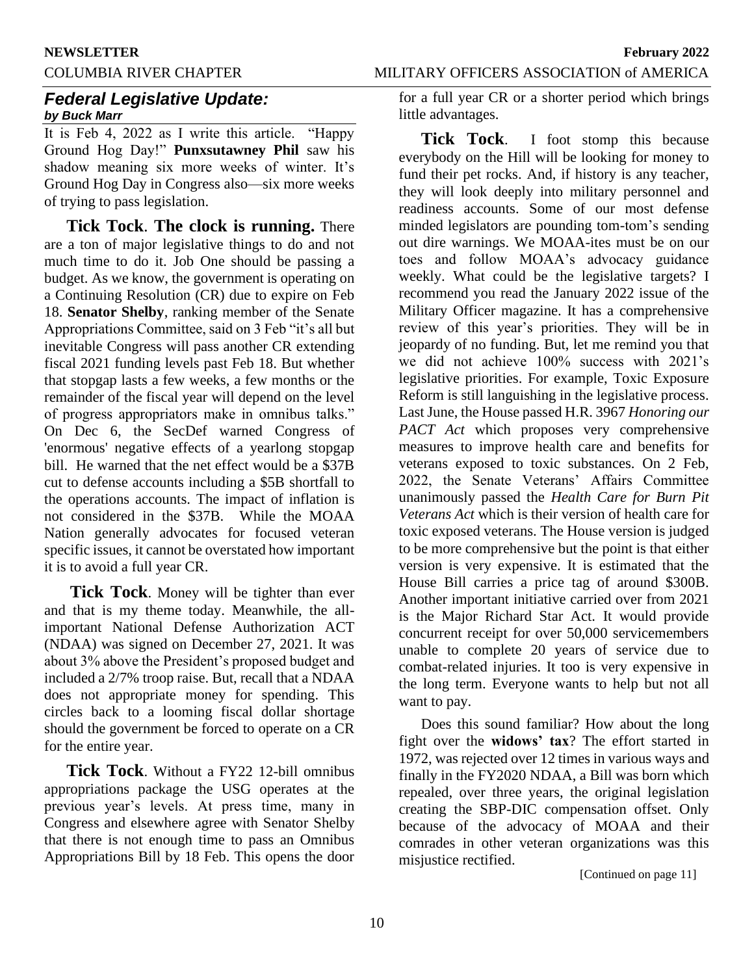#### **NEWSLETTER February 2022**

COLUMBIA RIVER CHAPTER MILITARY OFFICERS ASSOCIATION of AMERICA

# *Federal Legislative Update: by Buck Marr*

It is Feb 4, 2022 as I write this article. "Happy Ground Hog Day!" **Punxsutawney Phil** saw his shadow meaning six more weeks of winter. It's Ground Hog Day in Congress also—six more weeks of trying to pass legislation.

**Tick Tock**. **The clock is running.** There are a ton of major legislative things to do and not much time to do it. Job One should be passing a budget. As we know, the government is operating on a Continuing Resolution (CR) due to expire on Feb 18. **Senator Shelby**, ranking member of the Senate Appropriations Committee, said on 3 Feb "it's all but inevitable Congress will pass another CR extending fiscal 2021 funding levels past Feb 18. But whether that stopgap lasts a few weeks, a few months or the remainder of the fiscal year will depend on the level of progress appropriators make in omnibus talks." On Dec 6, the SecDef warned Congress of 'enormous' negative effects of a yearlong stopgap bill. He warned that the net effect would be a \$37B cut to defense accounts including a \$5B shortfall to the operations accounts. The impact of inflation is not considered in the \$37B. While the MOAA Nation generally advocates for focused veteran specific issues, it cannot be overstated how important it is to avoid a full year CR.

**Tick Tock**. Money will be tighter than ever and that is my theme today. Meanwhile, the allimportant National Defense Authorization ACT (NDAA) was signed on December 27, 2021. It was about 3% above the President's proposed budget and included a 2/7% troop raise. But, recall that a NDAA does not appropriate money for spending. This circles back to a looming fiscal dollar shortage should the government be forced to operate on a CR for the entire year.

**Tick Tock**. Without a FY22 12-bill omnibus appropriations package the USG operates at the previous year's levels. At press time, many in Congress and elsewhere agree with Senator Shelby that there is not enough time to pass an Omnibus Appropriations Bill by 18 Feb. This opens the door

for a full year CR or a shorter period which brings little advantages.

**Tick Tock**. I foot stomp this because everybody on the Hill will be looking for money to fund their pet rocks. And, if history is any teacher, they will look deeply into military personnel and readiness accounts. Some of our most defense minded legislators are pounding tom-tom's sending out dire warnings. We MOAA-ites must be on our toes and follow MOAA's advocacy guidance weekly. What could be the legislative targets? I recommend you read the January 2022 issue of the Military Officer magazine. It has a comprehensive review of this year's priorities. They will be in jeopardy of no funding. But, let me remind you that we did not achieve 100% success with 2021's legislative priorities. For example, Toxic Exposure Reform is still languishing in the legislative process. Last June, the House passed H.R. 3967 *Honoring our PACT Act* which proposes very comprehensive measures to improve health care and benefits for veterans exposed to toxic substances. On 2 Feb, 2022, the Senate Veterans' Affairs Committee unanimously passed the *Health Care for Burn Pit Veterans Act* which is their version of health care for toxic exposed veterans. The House version is judged to be more comprehensive but the point is that either version is very expensive. It is estimated that the House Bill carries a price tag of around \$300B. Another important initiative carried over from 2021 is the Major Richard Star Act. It would provide concurrent receipt for over 50,000 servicemembers unable to complete 20 years of service due to combat-related injuries. It too is very expensive in the long term. Everyone wants to help but not all want to pay.

Does this sound familiar? How about the long fight over the **widows' tax**? The effort started in 1972, was rejected over 12 times in various ways and finally in the FY2020 NDAA, a Bill was born which repealed, over three years, the original legislation creating the SBP-DIC compensation offset. Only because of the advocacy of MOAA and their comrades in other veteran organizations was this misjustice rectified.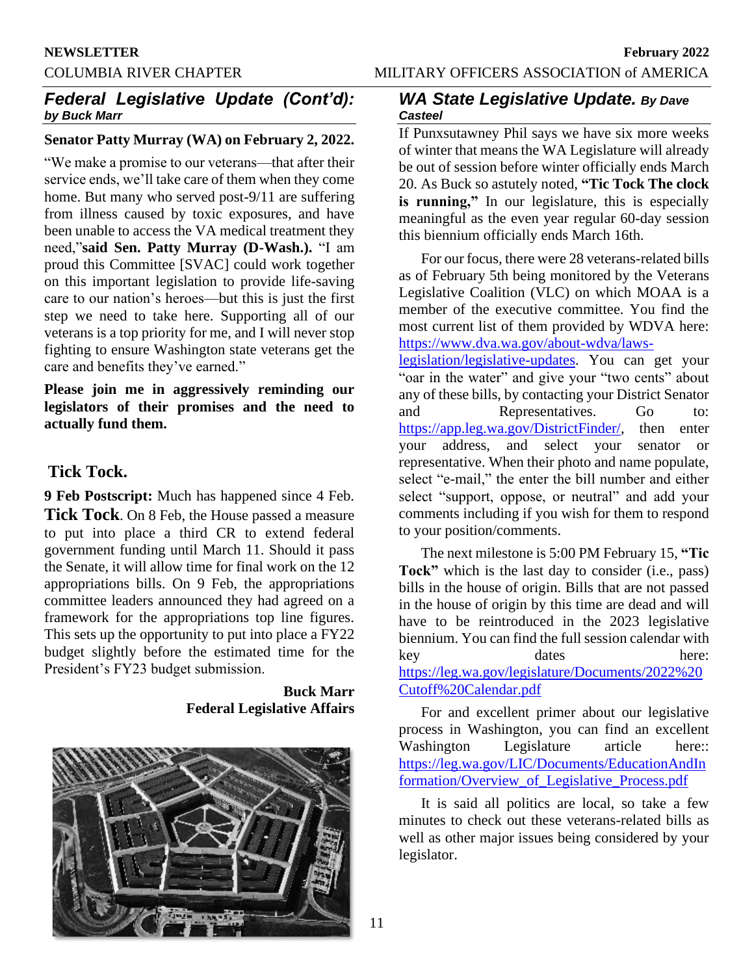# *Federal Legislative Update (Cont'd): by Buck Marr*

## **Senator Patty Murray (WA) on February 2, 2022.**

"We make a promise to our veterans—that after their service ends, we'll take care of them when they come home. But many who served post-9/11 are suffering from illness caused by toxic exposures, and have been unable to access the VA medical treatment they need,"**said Sen. Patty Murray (D-Wash.).** "I am proud this Committee [SVAC] could work together on this important legislation to provide life-saving care to our nation's heroes—but this is just the first step we need to take here. Supporting all of our veterans is a top priority for me, and I will never stop fighting to ensure Washington state veterans get the care and benefits they've earned."

**Please join me in aggressively reminding our legislators of their promises and the need to actually fund them.**

# **Tick Tock.**

**9 Feb Postscript:** Much has happened since 4 Feb. **Tick Tock**. On 8 Feb, the House passed a measure to put into place a third CR to extend federal government funding until March 11. Should it pass the Senate, it will allow time for final work on the 12 appropriations bills. On 9 Feb, the appropriations committee leaders announced they had agreed on a framework for the appropriations top line figures. This sets up the opportunity to put into place a FY22 budget slightly before the estimated time for the President's FY23 budget submission.

> **Buck Marr Federal Legislative Affairs**



## *WA State Legislative Update. By Dave Casteel*

If Punxsutawney Phil says we have six more weeks of winter that means the WA Legislature will already be out of session before winter officially ends March 20. As Buck so astutely noted, **"Tic Tock The clock is running,"** In our legislature, this is especially meaningful as the even year regular 60-day session this biennium officially ends March 16th.

For our focus, there were 28 veterans-related bills as of February 5th being monitored by the Veterans Legislative Coalition (VLC) on which MOAA is a member of the executive committee. You find the most current list of them provided by WDVA here: [https://www.dva.wa.gov/about-wdva/laws-](https://www.dva.wa.gov/about-wdva/laws-legislation/legislative-updates)

[legislation/legislative-updates.](https://www.dva.wa.gov/about-wdva/laws-legislation/legislative-updates) You can get your "oar in the water" and give your "two cents" about any of these bills, by contacting your District Senator and Representatives. Go to: [https://app.leg.wa.gov/DistrictFinder/,](https://app.leg.wa.gov/DistrictFinder/) then enter your address, and select your senator or representative. When their photo and name populate, select "e-mail," the enter the bill number and either select "support, oppose, or neutral" and add your comments including if you wish for them to respond to your position/comments.

The next milestone is 5:00 PM February 15, **"Tic Tock"** which is the last day to consider (i.e., pass) bills in the house of origin. Bills that are not passed in the house of origin by this time are dead and will have to be reintroduced in the 2023 legislative biennium. You can find the full session calendar with key dates here: [https://leg.wa.gov/legislature/Documents/2022%20](https://leg.wa.gov/legislature/Documents/2022%20Cutoff%20Calendar.pdf) [Cutoff%20Calendar.pdf](https://leg.wa.gov/legislature/Documents/2022%20Cutoff%20Calendar.pdf)

For and excellent primer about our legislative process in Washington, you can find an excellent Washington Legislature article here: [https://leg.wa.gov/LIC/Documents/EducationAndIn](https://leg.wa.gov/LIC/Documents/EducationAndInformation/Overview_of_Legislative_Process.pdf) [formation/Overview\\_of\\_Legislative\\_Process.pdf](https://leg.wa.gov/LIC/Documents/EducationAndInformation/Overview_of_Legislative_Process.pdf)

It is said all politics are local, so take a few minutes to check out these veterans-related bills as well as other major issues being considered by your legislator.

11